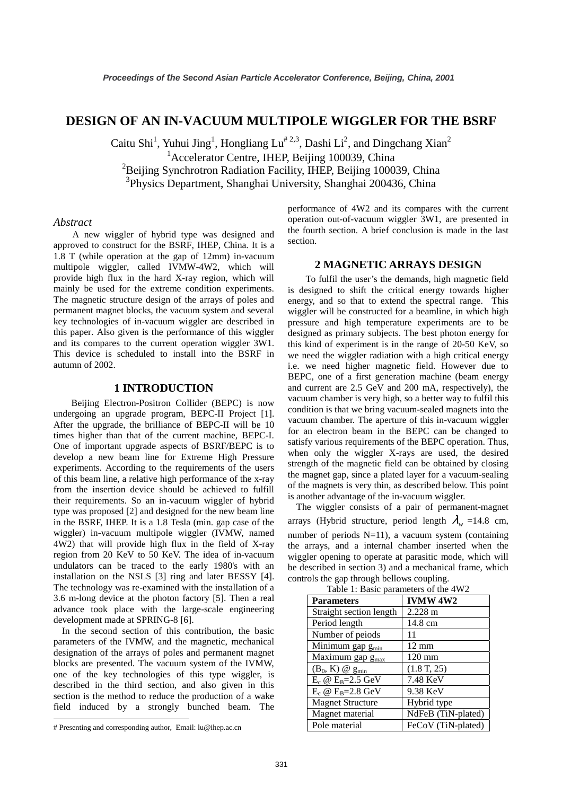# **DESIGN OF AN IN-VACUUM MULTIPOLE WIGGLER FOR THE BSRF**

Caitu Shi<sup>1</sup>, Yuhui Jing<sup>1</sup>, Hongliang Lu<sup>#2,3</sup>, Dashi Li<sup>2</sup>, and Dingchang Xian<sup>2</sup> <sup>1</sup> Accelerator Centre, IHEP, Beijing 100039, China

<sup>2</sup>Beijing Synchrotron Radiation Facility, IHEP, Beijing 100039, China

3 Physics Department, Shanghai University, Shanghai 200436, China

#### *Abstract*

A new wiggler of hybrid type was designed and approved to construct for the BSRF, IHEP, China. It is a 1.8 T (while operation at the gap of 12mm) in-vacuum multipole wiggler, called IVMW-4W2, which will provide high flux in the hard X-ray region, which will mainly be used for the extreme condition experiments. The magnetic structure design of the arrays of poles and permanent magnet blocks, the vacuum system and several key technologies of in-vacuum wiggler are described in this paper. Also given is the performance of this wiggler and its compares to the current operation wiggler 3W1. This device is scheduled to install into the BSRF in autumn of 2002.

#### **1 INTRODUCTION**

Beijing Electron-Positron Collider (BEPC) is now undergoing an upgrade program, BEPC-II Project [1]. After the upgrade, the brilliance of BEPC-II will be 10 times higher than that of the current machine, BEPC-I. One of important upgrade aspects of BSRF/BEPC is to develop a new beam line for Extreme High Pressure experiments. According to the requirements of the users of this beam line, a relative high performance of the x-ray from the insertion device should be achieved to fulfill their requirements. So an in-vacuum wiggler of hybrid type was proposed [2] and designed for the new beam line in the BSRF, IHEP. It is a 1.8 Tesla (min. gap case of the wiggler) in-vacuum multipole wiggler (IVMW, named 4W2) that will provide high flux in the field of X-ray region from 20 KeV to 50 KeV. The idea of in-vacuum undulators can be traced to the early 1980's with an installation on the NSLS [3] ring and later BESSY [4]. The technology was re-examined with the installation of a 3.6 m-long device at the photon factory [5]. Then a real advance took place with the large-scale engineering development made at SPRING-8 [6].

In the second section of this contribution, the basic parameters of the IVMW, and the magnetic, mechanical designation of the arrays of poles and permanent magnet blocks are presented. The vacuum system of the IVMW, one of the key technologies of this type wiggler, is described in the third section, and also given in this section is the method to reduce the production of a wake field induced by a strongly bunched beam. The

-

performance of 4W2 and its compares with the current operation out-of-vacuum wiggler 3W1, are presented in the fourth section. A brief conclusion is made in the last section.

## **2 MAGNETIC ARRAYS DESIGN**

To fulfil the user's the demands, high magnetic field is designed to shift the critical energy towards higher energy, and so that to extend the spectral range. This wiggler will be constructed for a beamline, in which high pressure and high temperature experiments are to be designed as primary subjects. The best photon energy for this kind of experiment is in the range of 20-50 KeV, so we need the wiggler radiation with a high critical energy i.e. we need higher magnetic field. However due to BEPC, one of a first generation machine (beam energy and current are 2.5 GeV and 200 mA, respectively), the vacuum chamber is very high, so a better way to fulfil this condition is that we bring vacuum-sealed magnets into the vacuum chamber. The aperture of this in-vacuum wiggler for an electron beam in the BEPC can be changed to satisfy various requirements of the BEPC operation. Thus, when only the wiggler X-rays are used, the desired strength of the magnetic field can be obtained by closing the magnet gap, since a plated layer for a vacuum-sealing of the magnets is very thin, as described below. This point is another advantage of the in-vacuum wiggler.

The wiggler consists of a pair of permanent-magnet arrays (Hybrid structure, period length  $\lambda_w = 14.8$  cm, number of periods N=11), a vacuum system (containing the arrays, and a internal chamber inserted when the wiggler opening to operate at parasitic mode, which will be described in section 3) and a mechanical frame, which controls the gap through bellows coupling.

| rable 1. Basic parameters of the $4w2$ |                    |
|----------------------------------------|--------------------|
| <b>Parameters</b>                      | <b>IVMW 4W2</b>    |
| Straight section length                | $2.228 \text{ m}$  |
| Period length                          | 14.8 cm            |
| Number of peiods                       | 11                 |
| Minimum gap g <sub>min</sub>           | $12 \text{ mm}$    |
| Maximum gap g <sub>max</sub>           | $120 \text{ mm}$   |
| $(B_0, K)$ @ $g_{min}$                 | (1.8 T, 25)        |
| $E_c \otimes E_B = 2.5 \text{ GeV}$    | 7.48 KeV           |
| $E_c \otimes E_B = 2.8 \text{ GeV}$    | 9.38 KeV           |
| <b>Magnet Structure</b>                | Hybrid type        |
| Magnet material                        | NdFeB (TiN-plated) |
| Pole material                          | FeCoV (TiN-plated) |

Table 1: Basic parameters of the 4W2

<sup>#</sup> Presenting and corresponding author, Email: lu@ihep.ac.cn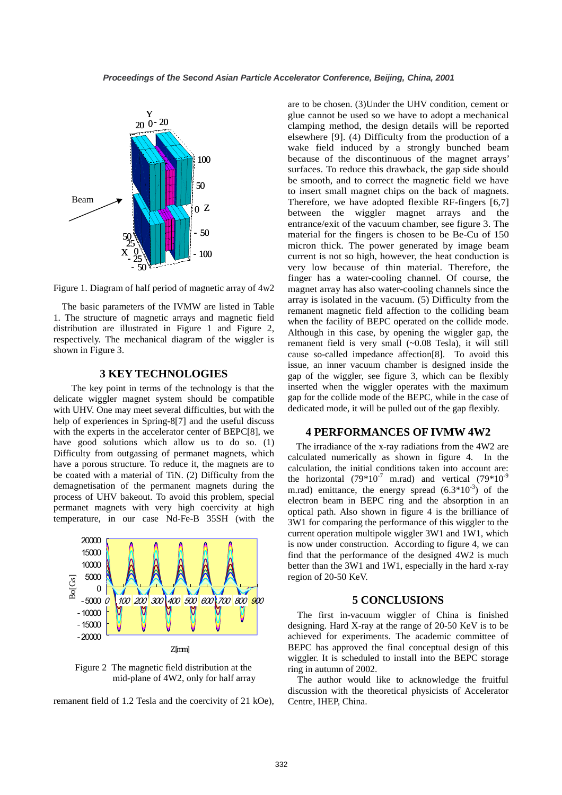

Figure 1. Diagram of half period of magnetic array of 4w2

The basic parameters of the IVMW are listed in Table 1. The structure of magnetic arrays and magnetic field distribution are illustrated in Figure 1 and Figure 2, respectively. The mechanical diagram of the wiggler is shown in Figure 3.

### **3 KEY TECHNOLOGIES**

The key point in terms of the technology is that the delicate wiggler magnet system should be compatible with UHV. One may meet several difficulties, but with the help of experiences in Spring-8[7] and the useful discuss with the experts in the accelerator center of BEPC[8], we have good solutions which allow us to do so. (1) Difficulty from outgassing of permanet magnets, which have a porous structure. To reduce it, the magnets are to be coated with a material of TiN. (2) Difficulty from the demagnetisation of the permanent magnets during the process of UHV bakeout. To avoid this problem, special permanet magnets with very high coercivity at high temperature, in our case Nd-Fe-B 35SH (with the



Figure 2 The magnetic field distribution at the mid-plane of 4W2, only for half array

remanent field of 1.2 Tesla and the coercivity of 21 kOe),

are to be chosen. (3)Under the UHV condition, cement or glue cannot be used so we have to adopt a mechanical clamping method, the design details will be reported elsewhere [9]. (4) Difficulty from the production of a wake field induced by a strongly bunched beam because of the discontinuous of the magnet arrays' surfaces. To reduce this drawback, the gap side should be smooth, and to correct the magnetic field we have to insert small magnet chips on the back of magnets. Therefore, we have adopted flexible RF-fingers [6,7] between the wiggler magnet arrays and the entrance/exit of the vacuum chamber, see figure 3. The material for the fingers is chosen to be Be-Cu of 150 micron thick. The power generated by image beam current is not so high, however, the heat conduction is very low because of thin material. Therefore, the finger has a water-cooling channel. Of course, the magnet array has also water-cooling channels since the array is isolated in the vacuum. (5) Difficulty from the remanent magnetic field affection to the colliding beam when the facility of BEPC operated on the collide mode. Although in this case, by opening the wiggler gap, the remanent field is very small (~0.08 Tesla), it will still cause so-called impedance affection[8]. To avoid this issue, an inner vacuum chamber is designed inside the gap of the wiggler, see figure 3, which can be flexibly inserted when the wiggler operates with the maximum gap for the collide mode of the BEPC, while in the case of dedicated mode, it will be pulled out of the gap flexibly.

### **4 PERFORMANCES OF IVMW 4W2**

The irradiance of the x-ray radiations from the 4W2 are calculated numerically as shown in figure 4. In the calculation, the initial conditions taken into account are: the horizontal (79\*10<sup>-7</sup> m.rad) and vertical (79\*10<sup>-9</sup> m.rad) emittance, the energy spread  $(6.3*10^{-3})$  of the electron beam in BEPC ring and the absorption in an optical path. Also shown in figure 4 is the brilliance of 3W1 for comparing the performance of this wiggler to the current operation multipole wiggler 3W1 and 1W1, which is now under construction. According to figure 4, we can find that the performance of the designed 4W2 is much better than the 3W1 and 1W1, especially in the hard x-ray region of 20-50 KeV.

#### **5 CONCLUSIONS**

The first in-vacuum wiggler of China is finished designing. Hard X-ray at the range of 20-50 KeV is to be achieved for experiments. The academic committee of BEPC has approved the final conceptual design of this wiggler. It is scheduled to install into the BEPC storage ring in autumn of 2002.

The author would like to acknowledge the fruitful discussion with the theoretical physicists of Accelerator Centre, IHEP, China.